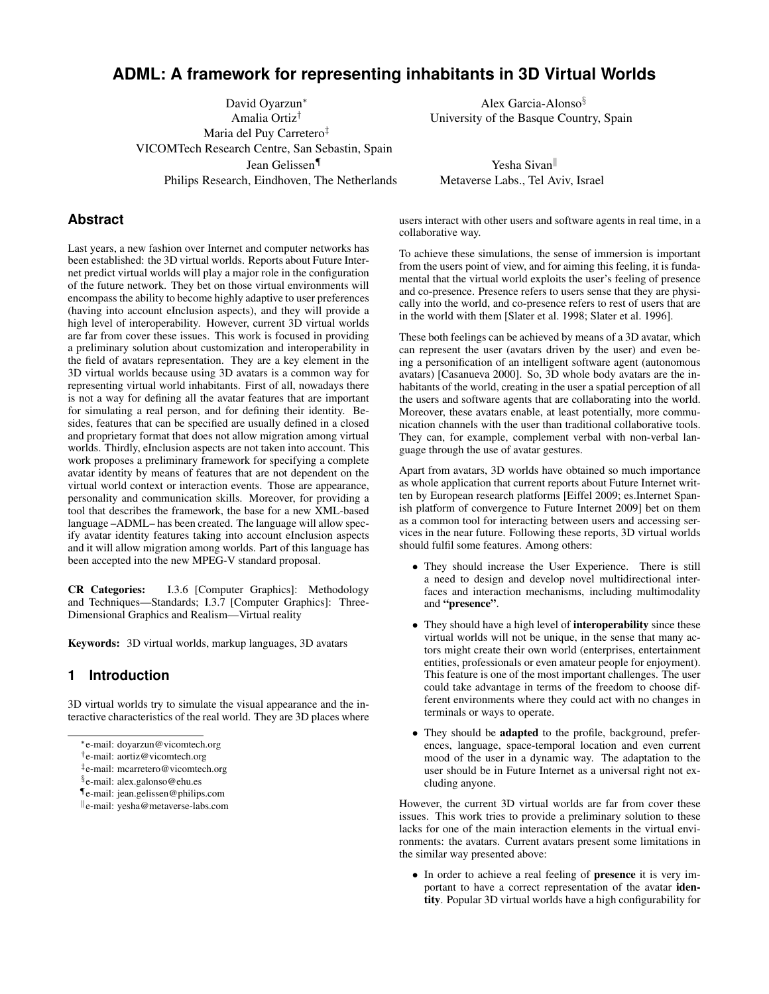# **ADML: A framework for representing inhabitants in 3D Virtual Worlds**

David Oyarzun<sup>∗</sup> Amalia Ortiz† Maria del Puy Carretero‡ VICOMTech Research Centre, San Sebastin, Spain Jean Gelissen¶ Philips Research, Eindhoven, The Netherlands

Alex Garcia-Alonso§ University of the Basque Country, Spain

Yesha Sivan Metaverse Labs., Tel Aviv, Israel

## **Abstract**

Last years, a new fashion over Internet and computer networks has been established: the 3D virtual worlds. Reports about Future Internet predict virtual worlds will play a major role in the configuration of the future network. They bet on those virtual environments will encompass the ability to become highly adaptive to user preferences (having into account eInclusion aspects), and they will provide a high level of interoperability. However, current 3D virtual worlds are far from cover these issues. This work is focused in providing a preliminary solution about customization and interoperability in the field of avatars representation. They are a key element in the 3D virtual worlds because using 3D avatars is a common way for representing virtual world inhabitants. First of all, nowadays there is not a way for defining all the avatar features that are important for simulating a real person, and for defining their identity. Besides, features that can be specified are usually defined in a closed and proprietary format that does not allow migration among virtual worlds. Thirdly, eInclusion aspects are not taken into account. This work proposes a preliminary framework for specifying a complete avatar identity by means of features that are not dependent on the virtual world context or interaction events. Those are appearance, personality and communication skills. Moreover, for providing a tool that describes the framework, the base for a new XML-based language –ADML– has been created. The language will allow specify avatar identity features taking into account eInclusion aspects and it will allow migration among worlds. Part of this language has been accepted into the new MPEG-V standard proposal.

CR Categories: I.3.6 [Computer Graphics]: Methodology and Techniques—Standards; I.3.7 [Computer Graphics]: Three-Dimensional Graphics and Realism—Virtual reality

Keywords: 3D virtual worlds, markup languages, 3D avatars

### **1 Introduction**

3D virtual worlds try to simulate the visual appearance and the interactive characteristics of the real world. They are 3D places where users interact with other users and software agents in real time, in a collaborative way.

To achieve these simulations, the sense of immersion is important from the users point of view, and for aiming this feeling, it is fundamental that the virtual world exploits the user's feeling of presence and co-presence. Presence refers to users sense that they are physically into the world, and co-presence refers to rest of users that are in the world with them [Slater et al. 1998; Slater et al. 1996].

These both feelings can be achieved by means of a 3D avatar, which can represent the user (avatars driven by the user) and even being a personification of an intelligent software agent (autonomous avatars) [Casanueva 2000]. So, 3D whole body avatars are the inhabitants of the world, creating in the user a spatial perception of all the users and software agents that are collaborating into the world. Moreover, these avatars enable, at least potentially, more communication channels with the user than traditional collaborative tools. They can, for example, complement verbal with non-verbal language through the use of avatar gestures.

Apart from avatars, 3D worlds have obtained so much importance as whole application that current reports about Future Internet written by European research platforms [Eiffel 2009; es.Internet Spanish platform of convergence to Future Internet 2009] bet on them as a common tool for interacting between users and accessing services in the near future. Following these reports, 3D virtual worlds should fulfil some features. Among others:

- They should increase the User Experience. There is still a need to design and develop novel multidirectional interfaces and interaction mechanisms, including multimodality and "presence".
- They should have a high level of interoperability since these virtual worlds will not be unique, in the sense that many actors might create their own world (enterprises, entertainment entities, professionals or even amateur people for enjoyment). This feature is one of the most important challenges. The user could take advantage in terms of the freedom to choose different environments where they could act with no changes in terminals or ways to operate.
- They should be adapted to the profile, background, preferences, language, space-temporal location and even current mood of the user in a dynamic way. The adaptation to the user should be in Future Internet as a universal right not excluding anyone.

However, the current 3D virtual worlds are far from cover these issues. This work tries to provide a preliminary solution to these lacks for one of the main interaction elements in the virtual environments: the avatars. Current avatars present some limitations in the similar way presented above:

• In order to achieve a real feeling of presence it is very important to have a correct representation of the avatar identity. Popular 3D virtual worlds have a high configurability for

<sup>∗</sup>e-mail: doyarzun@vicomtech.org

<sup>†</sup> e-mail: aortiz@vicomtech.org

<sup>‡</sup> e-mail: mcarretero@vicomtech.org

<sup>§</sup> e-mail: alex.galonso@ehu.es

<sup>¶</sup>e-mail: jean.gelissen@philips.com

<sup>k</sup>e-mail: yesha@metaverse-labs.com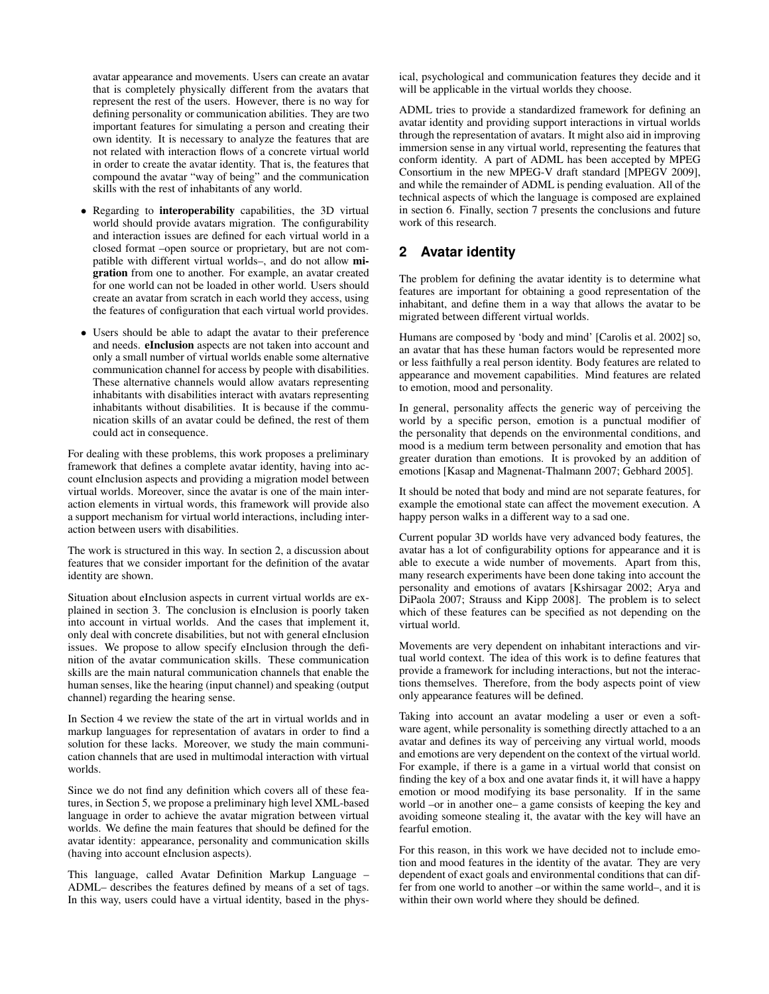avatar appearance and movements. Users can create an avatar that is completely physically different from the avatars that represent the rest of the users. However, there is no way for defining personality or communication abilities. They are two important features for simulating a person and creating their own identity. It is necessary to analyze the features that are not related with interaction flows of a concrete virtual world in order to create the avatar identity. That is, the features that compound the avatar "way of being" and the communication skills with the rest of inhabitants of any world.

- Regarding to **interoperability** capabilities, the 3D virtual world should provide avatars migration. The configurability and interaction issues are defined for each virtual world in a closed format –open source or proprietary, but are not compatible with different virtual worlds–, and do not allow migration from one to another. For example, an avatar created for one world can not be loaded in other world. Users should create an avatar from scratch in each world they access, using the features of configuration that each virtual world provides.
- Users should be able to adapt the avatar to their preference and needs. eInclusion aspects are not taken into account and only a small number of virtual worlds enable some alternative communication channel for access by people with disabilities. These alternative channels would allow avatars representing inhabitants with disabilities interact with avatars representing inhabitants without disabilities. It is because if the communication skills of an avatar could be defined, the rest of them could act in consequence.

For dealing with these problems, this work proposes a preliminary framework that defines a complete avatar identity, having into account eInclusion aspects and providing a migration model between virtual worlds. Moreover, since the avatar is one of the main interaction elements in virtual words, this framework will provide also a support mechanism for virtual world interactions, including interaction between users with disabilities.

The work is structured in this way. In section 2, a discussion about features that we consider important for the definition of the avatar identity are shown.

Situation about eInclusion aspects in current virtual worlds are explained in section 3. The conclusion is eInclusion is poorly taken into account in virtual worlds. And the cases that implement it, only deal with concrete disabilities, but not with general eInclusion issues. We propose to allow specify eInclusion through the definition of the avatar communication skills. These communication skills are the main natural communication channels that enable the human senses, like the hearing (input channel) and speaking (output channel) regarding the hearing sense.

In Section 4 we review the state of the art in virtual worlds and in markup languages for representation of avatars in order to find a solution for these lacks. Moreover, we study the main communication channels that are used in multimodal interaction with virtual worlds.

Since we do not find any definition which covers all of these features, in Section 5, we propose a preliminary high level XML-based language in order to achieve the avatar migration between virtual worlds. We define the main features that should be defined for the avatar identity: appearance, personality and communication skills (having into account eInclusion aspects).

This language, called Avatar Definition Markup Language – ADML– describes the features defined by means of a set of tags. In this way, users could have a virtual identity, based in the physical, psychological and communication features they decide and it will be applicable in the virtual worlds they choose.

ADML tries to provide a standardized framework for defining an avatar identity and providing support interactions in virtual worlds through the representation of avatars. It might also aid in improving immersion sense in any virtual world, representing the features that conform identity. A part of ADML has been accepted by MPEG Consortium in the new MPEG-V draft standard [MPEGV 2009], and while the remainder of ADML is pending evaluation. All of the technical aspects of which the language is composed are explained in section 6. Finally, section 7 presents the conclusions and future work of this research.

## **2 Avatar identity**

The problem for defining the avatar identity is to determine what features are important for obtaining a good representation of the inhabitant, and define them in a way that allows the avatar to be migrated between different virtual worlds.

Humans are composed by 'body and mind' [Carolis et al. 2002] so, an avatar that has these human factors would be represented more or less faithfully a real person identity. Body features are related to appearance and movement capabilities. Mind features are related to emotion, mood and personality.

In general, personality affects the generic way of perceiving the world by a specific person, emotion is a punctual modifier of the personality that depends on the environmental conditions, and mood is a medium term between personality and emotion that has greater duration than emotions. It is provoked by an addition of emotions [Kasap and Magnenat-Thalmann 2007; Gebhard 2005].

It should be noted that body and mind are not separate features, for example the emotional state can affect the movement execution. A happy person walks in a different way to a sad one.

Current popular 3D worlds have very advanced body features, the avatar has a lot of configurability options for appearance and it is able to execute a wide number of movements. Apart from this, many research experiments have been done taking into account the personality and emotions of avatars [Kshirsagar 2002; Arya and DiPaola 2007; Strauss and Kipp 2008]. The problem is to select which of these features can be specified as not depending on the virtual world.

Movements are very dependent on inhabitant interactions and virtual world context. The idea of this work is to define features that provide a framework for including interactions, but not the interactions themselves. Therefore, from the body aspects point of view only appearance features will be defined.

Taking into account an avatar modeling a user or even a software agent, while personality is something directly attached to a an avatar and defines its way of perceiving any virtual world, moods and emotions are very dependent on the context of the virtual world. For example, if there is a game in a virtual world that consist on finding the key of a box and one avatar finds it, it will have a happy emotion or mood modifying its base personality. If in the same world –or in another one– a game consists of keeping the key and avoiding someone stealing it, the avatar with the key will have an fearful emotion.

For this reason, in this work we have decided not to include emotion and mood features in the identity of the avatar. They are very dependent of exact goals and environmental conditions that can differ from one world to another –or within the same world–, and it is within their own world where they should be defined.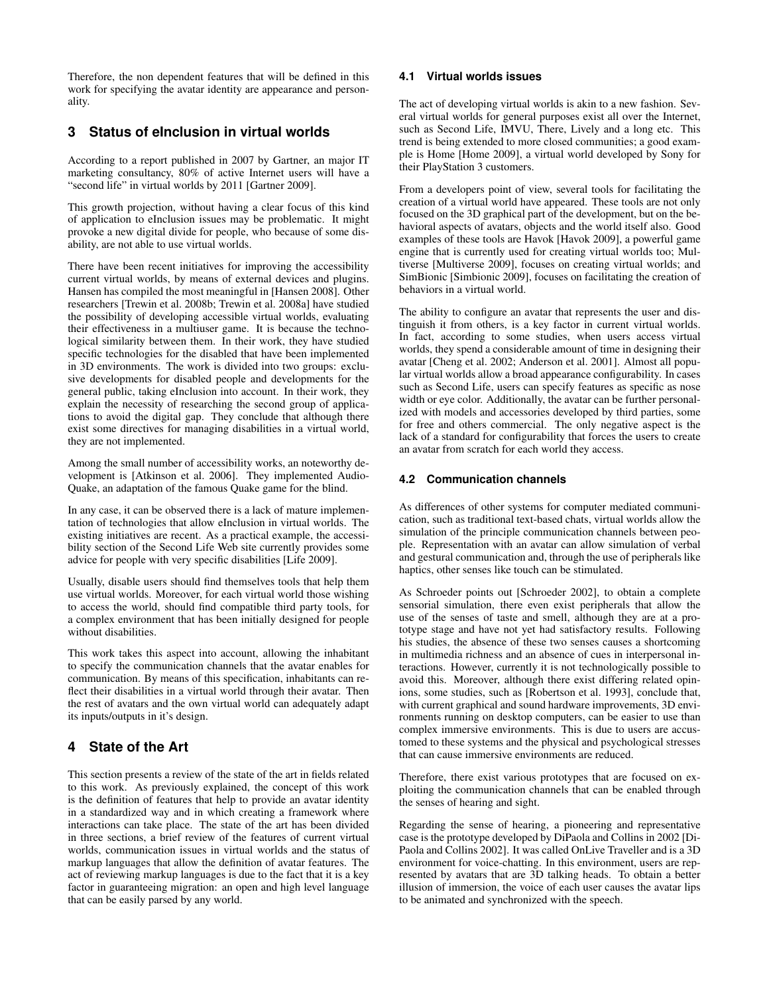Therefore, the non dependent features that will be defined in this work for specifying the avatar identity are appearance and personality.

# **3 Status of eInclusion in virtual worlds**

According to a report published in 2007 by Gartner, an major IT marketing consultancy, 80% of active Internet users will have a "second life" in virtual worlds by 2011 [Gartner 2009].

This growth projection, without having a clear focus of this kind of application to eInclusion issues may be problematic. It might provoke a new digital divide for people, who because of some disability, are not able to use virtual worlds.

There have been recent initiatives for improving the accessibility current virtual worlds, by means of external devices and plugins. Hansen has compiled the most meaningful in [Hansen 2008]. Other researchers [Trewin et al. 2008b; Trewin et al. 2008a] have studied the possibility of developing accessible virtual worlds, evaluating their effectiveness in a multiuser game. It is because the technological similarity between them. In their work, they have studied specific technologies for the disabled that have been implemented in 3D environments. The work is divided into two groups: exclusive developments for disabled people and developments for the general public, taking eInclusion into account. In their work, they explain the necessity of researching the second group of applications to avoid the digital gap. They conclude that although there exist some directives for managing disabilities in a virtual world, they are not implemented.

Among the small number of accessibility works, an noteworthy development is [Atkinson et al. 2006]. They implemented Audio-Quake, an adaptation of the famous Quake game for the blind.

In any case, it can be observed there is a lack of mature implementation of technologies that allow eInclusion in virtual worlds. The existing initiatives are recent. As a practical example, the accessibility section of the Second Life Web site currently provides some advice for people with very specific disabilities [Life 2009].

Usually, disable users should find themselves tools that help them use virtual worlds. Moreover, for each virtual world those wishing to access the world, should find compatible third party tools, for a complex environment that has been initially designed for people without disabilities.

This work takes this aspect into account, allowing the inhabitant to specify the communication channels that the avatar enables for communication. By means of this specification, inhabitants can reflect their disabilities in a virtual world through their avatar. Then the rest of avatars and the own virtual world can adequately adapt its inputs/outputs in it's design.

# **4 State of the Art**

This section presents a review of the state of the art in fields related to this work. As previously explained, the concept of this work is the definition of features that help to provide an avatar identity in a standardized way and in which creating a framework where interactions can take place. The state of the art has been divided in three sections, a brief review of the features of current virtual worlds, communication issues in virtual worlds and the status of markup languages that allow the definition of avatar features. The act of reviewing markup languages is due to the fact that it is a key factor in guaranteeing migration: an open and high level language that can be easily parsed by any world.

#### **4.1 Virtual worlds issues**

The act of developing virtual worlds is akin to a new fashion. Several virtual worlds for general purposes exist all over the Internet, such as Second Life, IMVU, There, Lively and a long etc. This trend is being extended to more closed communities; a good example is Home [Home 2009], a virtual world developed by Sony for their PlayStation 3 customers.

From a developers point of view, several tools for facilitating the creation of a virtual world have appeared. These tools are not only focused on the 3D graphical part of the development, but on the behavioral aspects of avatars, objects and the world itself also. Good examples of these tools are Havok [Havok 2009], a powerful game engine that is currently used for creating virtual worlds too; Multiverse [Multiverse 2009], focuses on creating virtual worlds; and SimBionic [Simbionic 2009], focuses on facilitating the creation of behaviors in a virtual world.

The ability to configure an avatar that represents the user and distinguish it from others, is a key factor in current virtual worlds. In fact, according to some studies, when users access virtual worlds, they spend a considerable amount of time in designing their avatar [Cheng et al. 2002; Anderson et al. 2001]. Almost all popular virtual worlds allow a broad appearance configurability. In cases such as Second Life, users can specify features as specific as nose width or eye color. Additionally, the avatar can be further personalized with models and accessories developed by third parties, some for free and others commercial. The only negative aspect is the lack of a standard for configurability that forces the users to create an avatar from scratch for each world they access.

### **4.2 Communication channels**

As differences of other systems for computer mediated communication, such as traditional text-based chats, virtual worlds allow the simulation of the principle communication channels between people. Representation with an avatar can allow simulation of verbal and gestural communication and, through the use of peripherals like haptics, other senses like touch can be stimulated.

As Schroeder points out [Schroeder 2002], to obtain a complete sensorial simulation, there even exist peripherals that allow the use of the senses of taste and smell, although they are at a prototype stage and have not yet had satisfactory results. Following his studies, the absence of these two senses causes a shortcoming in multimedia richness and an absence of cues in interpersonal interactions. However, currently it is not technologically possible to avoid this. Moreover, although there exist differing related opinions, some studies, such as [Robertson et al. 1993], conclude that, with current graphical and sound hardware improvements, 3D environments running on desktop computers, can be easier to use than complex immersive environments. This is due to users are accustomed to these systems and the physical and psychological stresses that can cause immersive environments are reduced.

Therefore, there exist various prototypes that are focused on exploiting the communication channels that can be enabled through the senses of hearing and sight.

Regarding the sense of hearing, a pioneering and representative case is the prototype developed by DiPaola and Collins in 2002 [Di-Paola and Collins 2002]. It was called OnLive Traveller and is a 3D environment for voice-chatting. In this environment, users are represented by avatars that are 3D talking heads. To obtain a better illusion of immersion, the voice of each user causes the avatar lips to be animated and synchronized with the speech.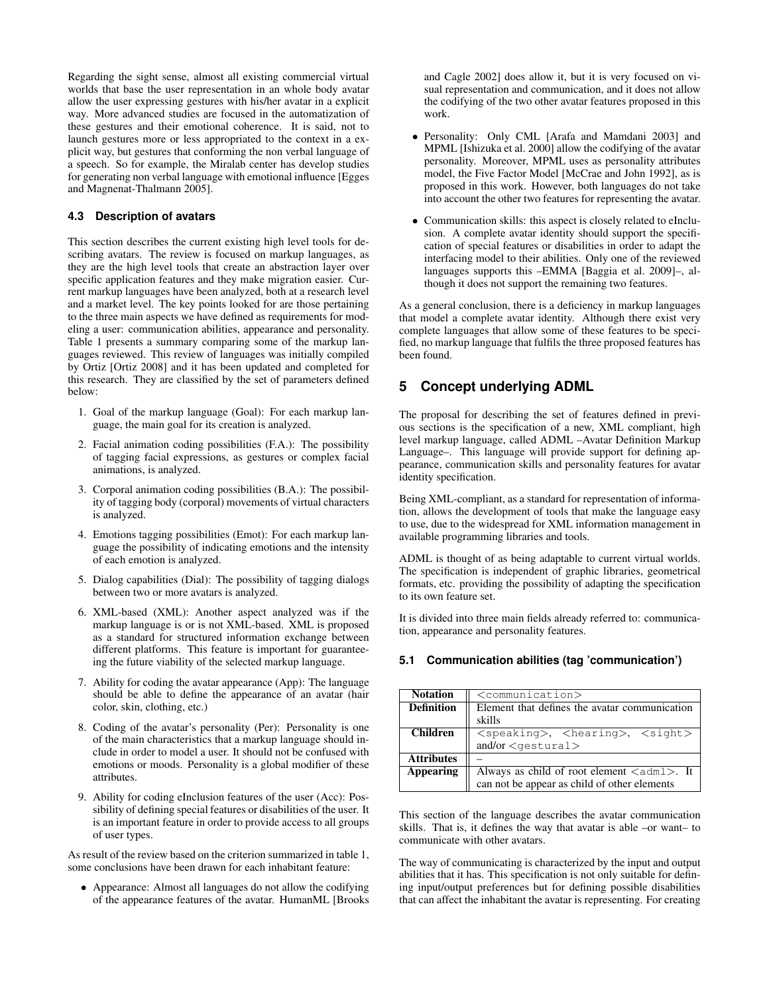Regarding the sight sense, almost all existing commercial virtual worlds that base the user representation in an whole body avatar allow the user expressing gestures with his/her avatar in a explicit way. More advanced studies are focused in the automatization of these gestures and their emotional coherence. It is said, not to launch gestures more or less appropriated to the context in a explicit way, but gestures that conforming the non verbal language of a speech. So for example, the Miralab center has develop studies for generating non verbal language with emotional influence [Egges and Magnenat-Thalmann 2005].

#### **4.3 Description of avatars**

This section describes the current existing high level tools for describing avatars. The review is focused on markup languages, as they are the high level tools that create an abstraction layer over specific application features and they make migration easier. Current markup languages have been analyzed, both at a research level and a market level. The key points looked for are those pertaining to the three main aspects we have defined as requirements for modeling a user: communication abilities, appearance and personality. Table 1 presents a summary comparing some of the markup languages reviewed. This review of languages was initially compiled by Ortiz [Ortiz 2008] and it has been updated and completed for this research. They are classified by the set of parameters defined below:

- 1. Goal of the markup language (Goal): For each markup language, the main goal for its creation is analyzed.
- 2. Facial animation coding possibilities (F.A.): The possibility of tagging facial expressions, as gestures or complex facial animations, is analyzed.
- 3. Corporal animation coding possibilities (B.A.): The possibility of tagging body (corporal) movements of virtual characters is analyzed.
- 4. Emotions tagging possibilities (Emot): For each markup language the possibility of indicating emotions and the intensity of each emotion is analyzed.
- 5. Dialog capabilities (Dial): The possibility of tagging dialogs between two or more avatars is analyzed.
- 6. XML-based (XML): Another aspect analyzed was if the markup language is or is not XML-based. XML is proposed as a standard for structured information exchange between different platforms. This feature is important for guaranteeing the future viability of the selected markup language.
- 7. Ability for coding the avatar appearance (App): The language should be able to define the appearance of an avatar (hair color, skin, clothing, etc.)
- 8. Coding of the avatar's personality (Per): Personality is one of the main characteristics that a markup language should include in order to model a user. It should not be confused with emotions or moods. Personality is a global modifier of these attributes.
- 9. Ability for coding eInclusion features of the user (Acc): Possibility of defining special features or disabilities of the user. It is an important feature in order to provide access to all groups of user types.

As result of the review based on the criterion summarized in table 1, some conclusions have been drawn for each inhabitant feature:

• Appearance: Almost all languages do not allow the codifying of the appearance features of the avatar. HumanML [Brooks and Cagle 2002] does allow it, but it is very focused on visual representation and communication, and it does not allow the codifying of the two other avatar features proposed in this work.

- Personality: Only CML [Arafa and Mamdani 2003] and MPML [Ishizuka et al. 2000] allow the codifying of the avatar personality. Moreover, MPML uses as personality attributes model, the Five Factor Model [McCrae and John 1992], as is proposed in this work. However, both languages do not take into account the other two features for representing the avatar.
- Communication skills: this aspect is closely related to eInclusion. A complete avatar identity should support the specification of special features or disabilities in order to adapt the interfacing model to their abilities. Only one of the reviewed languages supports this –EMMA [Baggia et al. 2009]–, although it does not support the remaining two features.

As a general conclusion, there is a deficiency in markup languages that model a complete avatar identity. Although there exist very complete languages that allow some of these features to be specified, no markup language that fulfils the three proposed features has been found.

### **5 Concept underlying ADML**

The proposal for describing the set of features defined in previous sections is the specification of a new, XML compliant, high level markup language, called ADML –Avatar Definition Markup Language–. This language will provide support for defining appearance, communication skills and personality features for avatar identity specification.

Being XML-compliant, as a standard for representation of information, allows the development of tools that make the language easy to use, due to the widespread for XML information management in available programming libraries and tools.

ADML is thought of as being adaptable to current virtual worlds. The specification is independent of graphic libraries, geometrical formats, etc. providing the possibility of adapting the specification to its own feature set.

It is divided into three main fields already referred to: communication, appearance and personality features.

#### **5.1 Communication abilities (tag 'communication')**

| <b>Notation</b>   | <communication></communication>                                   |  |  |  |
|-------------------|-------------------------------------------------------------------|--|--|--|
| <b>Definition</b> | Element that defines the avatar communication                     |  |  |  |
|                   | skills                                                            |  |  |  |
| <b>Children</b>   | $<$ speaking>, $<$ hearing>, $<$ sight>                           |  |  |  |
|                   | and/or <gestural></gestural>                                      |  |  |  |
| <b>Attributes</b> |                                                                   |  |  |  |
| <b>Appearing</b>  | Always as child of root element $\langle \text{adml}\rangle$ . It |  |  |  |
|                   | can not be appear as child of other elements                      |  |  |  |

This section of the language describes the avatar communication skills. That is, it defines the way that avatar is able –or want– to communicate with other avatars.

The way of communicating is characterized by the input and output abilities that it has. This specification is not only suitable for defining input/output preferences but for defining possible disabilities that can affect the inhabitant the avatar is representing. For creating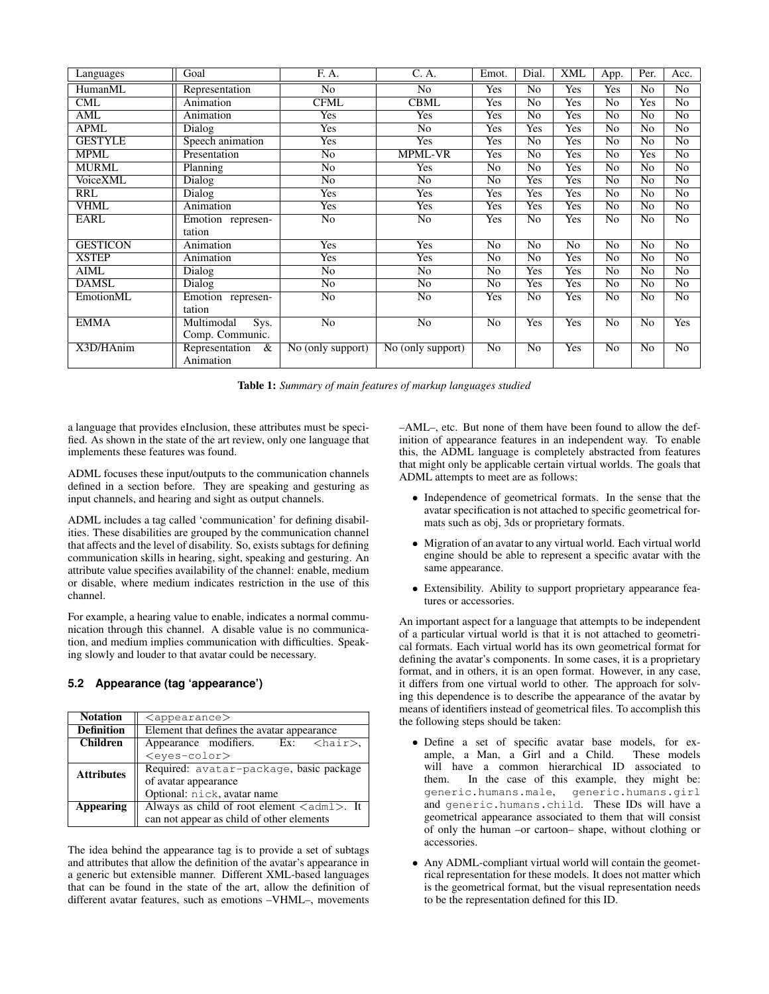| Languages               | Goal                | F. A.                          | C. A.                          | Emot.           | Dial.           | <b>XML</b>      | App.                   | Per.            | Acc.            |
|-------------------------|---------------------|--------------------------------|--------------------------------|-----------------|-----------------|-----------------|------------------------|-----------------|-----------------|
| HumanML                 | Representation      | N <sub>o</sub>                 | No                             | Yes             | N <sub>o</sub>  | Yes             | Yes                    | No              | No              |
| $\overline{\text{CML}}$ | Animation           | <b>CFML</b>                    | <b>CBML</b>                    | <b>Yes</b>      | $\overline{No}$ | <b>Yes</b>      | $\overline{\text{No}}$ | <b>Yes</b>      | $\overline{No}$ |
| AML                     | Animation           | <b>Yes</b>                     | <b>Yes</b>                     | <b>Yes</b>      | $\overline{No}$ | <b>Yes</b>      | $\overline{\text{No}}$ | $\overline{No}$ | $\overline{No}$ |
| APML                    | Dialog              | Yes                            | No                             | Yes             | Yes             | Yes             | No                     | No              | No              |
| <b>GESTYLE</b>          | Speech animation    | <b>Yes</b>                     | <b>Yes</b>                     | Yes             | No              | <b>Yes</b>      | $\overline{No}$        | $\overline{No}$ | $\overline{No}$ |
| <b>MPML</b>             | Presentation        | $\overline{No}$                | <b>MPML-VR</b>                 | Yes             | $\overline{No}$ | Yes             | No                     | Yes             | $\overline{No}$ |
| <b>MURML</b>            | Planning            | $\overline{No}$                | <b>Yes</b>                     | N <sub>o</sub>  | $\overline{No}$ | Yes             | $\overline{No}$        | $\overline{No}$ | $\overline{No}$ |
| <b>VoiceXML</b>         | Dialog              | $\overline{No}$                | $\overline{No}$                | $\overline{No}$ | Yes             | <b>Yes</b>      | $\overline{No}$        | $\overline{No}$ | $\overline{No}$ |
| RRL                     | Dialog              | Yes                            | Yes                            | Yes             | Yes             | Yes             | No                     | N <sub>o</sub>  | N <sub>o</sub>  |
| <b>VHML</b>             | Animation           | <b>Yes</b>                     | <b>Yes</b>                     | Yes             | <b>Yes</b>      | <b>Yes</b>      | $\overline{No}$        | No              | $\overline{No}$ |
| <b>EARL</b>             | Emotion represen-   | $\overline{No}$                | $\overline{No}$                | Yes             | $\overline{No}$ | <b>Yes</b>      | $\overline{No}$        | $\overline{No}$ | $\overline{No}$ |
|                         | tation              |                                |                                |                 |                 |                 |                        |                 |                 |
| <b>GESTICON</b>         | Animation           | <b>Yes</b>                     | <b>Yes</b>                     | $\overline{No}$ | $\overline{No}$ | $\overline{No}$ | $\overline{No}$        | $\overline{No}$ | $\overline{No}$ |
| <b>XSTEP</b>            | Animation           | Yes                            | Yes                            | No              | N <sub>o</sub>  | Yes             | No                     | N <sub>o</sub>  | $\overline{No}$ |
| <b>AIML</b>             | Dialog              | $\overline{No}$                | $\overline{No}$                | N <sub>o</sub>  | Yes             | <b>Yes</b>      | $\overline{No}$        | $\overline{No}$ | $\overline{No}$ |
| <b>DAMSL</b>            | Dialog              | $\overline{No}$                | $\overline{No}$                | $\overline{No}$ | Yes             | <b>Yes</b>      | $\overline{\text{No}}$ | $\overline{No}$ | $\overline{No}$ |
| EmotionML               | Emotion represen-   | No                             | No                             | Yes             | N <sub>o</sub>  | Yes             | No                     | N <sub>o</sub>  | No              |
|                         | tation              |                                |                                |                 |                 |                 |                        |                 |                 |
| <b>EMMA</b>             | Sys.<br>Multimodal  | $\overline{No}$                | $\overline{No}$                | $\overline{No}$ | Yes             | Yes             | $\overline{No}$        | $\overline{No}$ | <b>Yes</b>      |
|                         | Comp. Communic.     |                                |                                |                 |                 |                 |                        |                 |                 |
| X3D/HAnim               | Representation<br>& | $\overline{No}$ (only support) | $\overline{No}$ (only support) | $\overline{No}$ | $\overline{No}$ | <b>Yes</b>      | $\overline{No}$        | $\overline{No}$ | $\overline{No}$ |
|                         | Animation           |                                |                                |                 |                 |                 |                        |                 |                 |

Table 1: *Summary of main features of markup languages studied*

a language that provides eInclusion, these attributes must be specified. As shown in the state of the art review, only one language that implements these features was found.

ADML focuses these input/outputs to the communication channels defined in a section before. They are speaking and gesturing as input channels, and hearing and sight as output channels.

ADML includes a tag called 'communication' for defining disabilities. These disabilities are grouped by the communication channel that affects and the level of disability. So, exists subtags for defining communication skills in hearing, sight, speaking and gesturing. An attribute value specifies availability of the channel: enable, medium or disable, where medium indicates restriction in the use of this channel.

For example, a hearing value to enable, indicates a normal communication through this channel. A disable value is no communication, and medium implies communication with difficulties. Speaking slowly and louder to that avatar could be necessary.

### **5.2 Appearance (tag 'appearance')**

| <b>Notation</b>   | $\langle$ appearance $\rangle$                                    |  |  |  |  |
|-------------------|-------------------------------------------------------------------|--|--|--|--|
| <b>Definition</b> | Element that defines the avatar appearance                        |  |  |  |  |
| <b>Children</b>   | Appearance modifiers. Ex: $\langle$ hair>,                        |  |  |  |  |
|                   | <eyes-color></eyes-color>                                         |  |  |  |  |
| <b>Attributes</b> | Required: avatar-package, basic package                           |  |  |  |  |
|                   | of avatar appearance                                              |  |  |  |  |
|                   | Optional: nick, avatar name                                       |  |  |  |  |
| <b>Appearing</b>  | Always as child of root element $\langle \text{adm1}\rangle$ . It |  |  |  |  |
|                   | can not appear as child of other elements                         |  |  |  |  |

The idea behind the appearance tag is to provide a set of subtags and attributes that allow the definition of the avatar's appearance in a generic but extensible manner. Different XML-based languages that can be found in the state of the art, allow the definition of different avatar features, such as emotions –VHML–, movements –AML–, etc. But none of them have been found to allow the definition of appearance features in an independent way. To enable this, the ADML language is completely abstracted from features that might only be applicable certain virtual worlds. The goals that ADML attempts to meet are as follows:

- Independence of geometrical formats. In the sense that the avatar specification is not attached to specific geometrical formats such as obj, 3ds or proprietary formats.
- Migration of an avatar to any virtual world. Each virtual world engine should be able to represent a specific avatar with the same appearance.
- Extensibility. Ability to support proprietary appearance features or accessories.

An important aspect for a language that attempts to be independent of a particular virtual world is that it is not attached to geometrical formats. Each virtual world has its own geometrical format for defining the avatar's components. In some cases, it is a proprietary format, and in others, it is an open format. However, in any case, it differs from one virtual world to other. The approach for solving this dependence is to describe the appearance of the avatar by means of identifiers instead of geometrical files. To accomplish this the following steps should be taken:

- Define a set of specific avatar base models, for ex-<br>ample, a Man, a Girl and a Child. These models ample, a Man,  $\vec{a}$  Girl and a Child. will have a common hierarchical ID associated to them. In the case of this example, they might be: generic.humans.male, generic.humans.girl and generic.humans.child. These IDs will have a geometrical appearance associated to them that will consist of only the human –or cartoon– shape, without clothing or accessories.
- Any ADML-compliant virtual world will contain the geometrical representation for these models. It does not matter which is the geometrical format, but the visual representation needs to be the representation defined for this ID.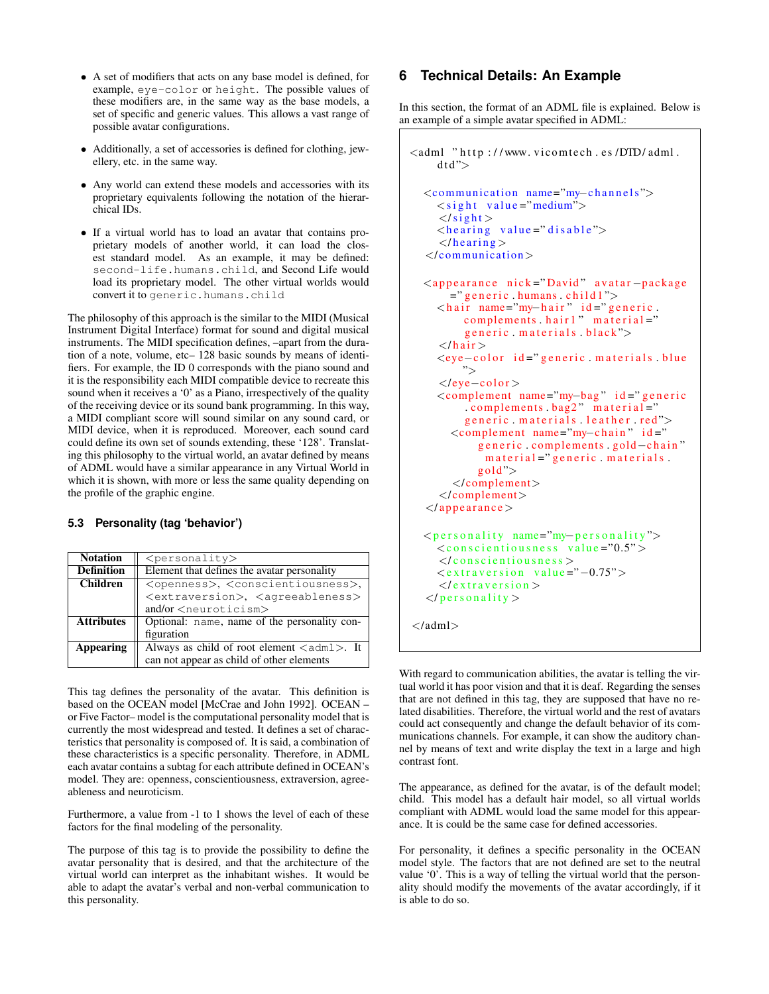- A set of modifiers that acts on any base model is defined, for example, eye-color or height. The possible values of these modifiers are, in the same way as the base models, a set of specific and generic values. This allows a vast range of possible avatar configurations.
- Additionally, a set of accessories is defined for clothing, jewellery, etc. in the same way.
- Any world can extend these models and accessories with its proprietary equivalents following the notation of the hierarchical IDs.
- If a virtual world has to load an avatar that contains proprietary models of another world, it can load the closest standard model. As an example, it may be defined: second-life.humans.child, and Second Life would load its proprietary model. The other virtual worlds would convert it to generic.humans.child

The philosophy of this approach is the similar to the MIDI (Musical Instrument Digital Interface) format for sound and digital musical instruments. The MIDI specification defines, –apart from the duration of a note, volume, etc– 128 basic sounds by means of identifiers. For example, the ID 0 corresponds with the piano sound and it is the responsibility each MIDI compatible device to recreate this sound when it receives a '0' as a Piano, irrespectively of the quality of the receiving device or its sound bank programming. In this way, a MIDI compliant score will sound similar on any sound card, or MIDI device, when it is reproduced. Moreover, each sound card could define its own set of sounds extending, these '128'. Translating this philosophy to the virtual world, an avatar defined by means of ADML would have a similar appearance in any Virtual World in which it is shown, with more or less the same quality depending on the profile of the graphic engine.

#### **5.3 Personality (tag 'behavior')**

| <b>Notation</b>   | $<$ personality>                                                  |
|-------------------|-------------------------------------------------------------------|
| <b>Definition</b> | Element that defines the avatar personality                       |
| <b>Children</b>   | <openness>, <conscientiousness>,</conscientiousness></openness>   |
|                   | <extraversion>, <aqreeableness></aqreeableness></extraversion>    |
|                   | and/or <neuroticism></neuroticism>                                |
| <b>Attributes</b> | Optional: name, name of the personality con-                      |
|                   | figuration                                                        |
| Appearing         | Always as child of root element $\langle \text{adm1}\rangle$ . It |
|                   | can not appear as child of other elements                         |

This tag defines the personality of the avatar. This definition is based on the OCEAN model [McCrae and John 1992]. OCEAN – or Five Factor– model is the computational personality model that is currently the most widespread and tested. It defines a set of characteristics that personality is composed of. It is said, a combination of these characteristics is a specific personality. Therefore, in ADML each avatar contains a subtag for each attribute defined in OCEAN's model. They are: openness, conscientiousness, extraversion, agreeableness and neuroticism.

Furthermore, a value from -1 to 1 shows the level of each of these factors for the final modeling of the personality.

The purpose of this tag is to provide the possibility to define the avatar personality that is desired, and that the architecture of the virtual world can interpret as the inhabitant wishes. It would be able to adapt the avatar's verbal and non-verbal communication to this personality.

# **6 Technical Details: An Example**

In this section, the format of an ADML file is explained. Below is an example of a simple avatar specified in ADML:

```
<adml "http://www.vicomtech.es/DTD/adml.
     dt d"<communication name="my-channels">
     \langlesight value="medium">
     \langle/sight \rangle\langlehearing value="disable">
     \langle/hearing >\langle/communication>
  <a p p e a r a n c e ni c k =" David " a v a t a r −p a c k a g e
       =" generic . humans . child 1">
     \langlehair name="my−hair" id="generic.
          complements . hair 1" material ="
          generic materials . black">
     \langle/hair \rangle<eye-color id="generic materials blue
         ">
     </ eye−c ol o r >
     <complement name="my−bag " i d =" g e n e r i c
          complements bag2" material="generic materials leather red">
       <complement name="my-chain" id="
            generic . complements . gold-chain"
              m a t e r i a l = " g e n e r i c . m a t e r i a l s .
            gold">
        </ complement>
     </ complement>
  \langleappearance\rangle<p e r s o n a l i t y name="my−p e r s o n a l i t y ">
     <conscientiousness value="0.5">
     \langle/conscientiousness>
     <e x t r a v e r s i o n v a l u e ="−0.75">
     \langle/extraversion >
  </personality >
</adml>
```
With regard to communication abilities, the avatar is telling the virtual world it has poor vision and that it is deaf. Regarding the senses that are not defined in this tag, they are supposed that have no related disabilities. Therefore, the virtual world and the rest of avatars could act consequently and change the default behavior of its communications channels. For example, it can show the auditory channel by means of text and write display the text in a large and high contrast font.

The appearance, as defined for the avatar, is of the default model; child. This model has a default hair model, so all virtual worlds compliant with ADML would load the same model for this appearance. It is could be the same case for defined accessories.

For personality, it defines a specific personality in the OCEAN model style. The factors that are not defined are set to the neutral value '0'. This is a way of telling the virtual world that the personality should modify the movements of the avatar accordingly, if it is able to do so.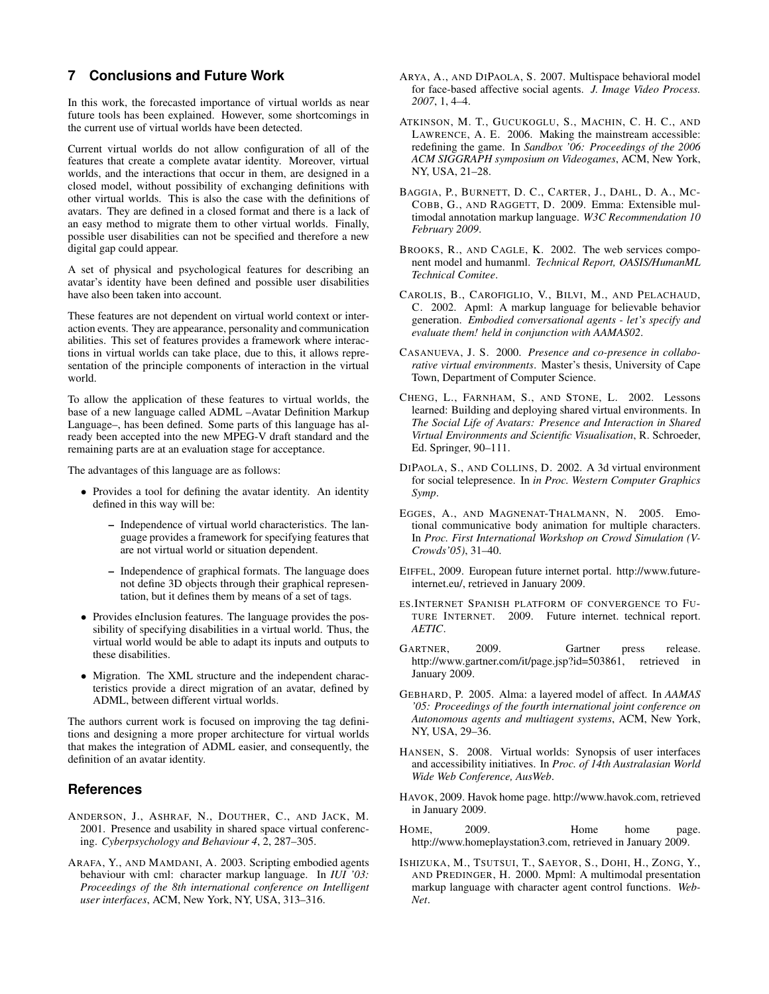## **7 Conclusions and Future Work**

In this work, the forecasted importance of virtual worlds as near future tools has been explained. However, some shortcomings in the current use of virtual worlds have been detected.

Current virtual worlds do not allow configuration of all of the features that create a complete avatar identity. Moreover, virtual worlds, and the interactions that occur in them, are designed in a closed model, without possibility of exchanging definitions with other virtual worlds. This is also the case with the definitions of avatars. They are defined in a closed format and there is a lack of an easy method to migrate them to other virtual worlds. Finally, possible user disabilities can not be specified and therefore a new digital gap could appear.

A set of physical and psychological features for describing an avatar's identity have been defined and possible user disabilities have also been taken into account.

These features are not dependent on virtual world context or interaction events. They are appearance, personality and communication abilities. This set of features provides a framework where interactions in virtual worlds can take place, due to this, it allows representation of the principle components of interaction in the virtual world.

To allow the application of these features to virtual worlds, the base of a new language called ADML –Avatar Definition Markup Language–, has been defined. Some parts of this language has already been accepted into the new MPEG-V draft standard and the remaining parts are at an evaluation stage for acceptance.

The advantages of this language are as follows:

- Provides a tool for defining the avatar identity. An identity defined in this way will be:
	- Independence of virtual world characteristics. The language provides a framework for specifying features that are not virtual world or situation dependent.
	- Independence of graphical formats. The language does not define 3D objects through their graphical representation, but it defines them by means of a set of tags.
- Provides eInclusion features. The language provides the possibility of specifying disabilities in a virtual world. Thus, the virtual world would be able to adapt its inputs and outputs to these disabilities.
- Migration. The XML structure and the independent characteristics provide a direct migration of an avatar, defined by ADML, between different virtual worlds.

The authors current work is focused on improving the tag definitions and designing a more proper architecture for virtual worlds that makes the integration of ADML easier, and consequently, the definition of an avatar identity.

### **References**

- ANDERSON, J., ASHRAF, N., DOUTHER, C., AND JACK, M. 2001. Presence and usability in shared space virtual conferencing. *Cyberpsychology and Behaviour 4*, 2, 287–305.
- ARAFA, Y., AND MAMDANI, A. 2003. Scripting embodied agents behaviour with cml: character markup language. In *IUI '03: Proceedings of the 8th international conference on Intelligent user interfaces*, ACM, New York, NY, USA, 313–316.
- ARYA, A., AND DIPAOLA, S. 2007. Multispace behavioral model for face-based affective social agents. *J. Image Video Process. 2007*, 1, 4–4.
- ATKINSON, M. T., GUCUKOGLU, S., MACHIN, C. H. C., AND LAWRENCE, A. E. 2006. Making the mainstream accessible: redefining the game. In *Sandbox '06: Proceedings of the 2006 ACM SIGGRAPH symposium on Videogames*, ACM, New York, NY, USA, 21–28.
- BAGGIA, P., BURNETT, D. C., CARTER, J., DAHL, D. A., MC-COBB, G., AND RAGGETT, D. 2009. Emma: Extensible multimodal annotation markup language. *W3C Recommendation 10 February 2009*.
- BROOKS, R., AND CAGLE, K. 2002. The web services component model and humanml. *Technical Report, OASIS/HumanML Technical Comitee*.
- CAROLIS, B., CAROFIGLIO, V., BILVI, M., AND PELACHAUD, C. 2002. Apml: A markup language for believable behavior generation. *Embodied conversational agents - let's specify and evaluate them! held in conjunction with AAMAS02*.
- CASANUEVA, J. S. 2000. *Presence and co-presence in collaborative virtual environments*. Master's thesis, University of Cape Town, Department of Computer Science.
- CHENG, L., FARNHAM, S., AND STONE, L. 2002. Lessons learned: Building and deploying shared virtual environments. In *The Social Life of Avatars: Presence and Interaction in Shared Virtual Environments and Scientific Visualisation*, R. Schroeder, Ed. Springer, 90–111.
- DIPAOLA, S., AND COLLINS, D. 2002. A 3d virtual environment for social telepresence. In *in Proc. Western Computer Graphics Symp*.
- EGGES, A., AND MAGNENAT-THALMANN, N. 2005. Emotional communicative body animation for multiple characters. In *Proc. First International Workshop on Crowd Simulation (V-Crowds'05)*, 31–40.
- EIFFEL, 2009. European future internet portal. http://www.futureinternet.eu/, retrieved in January 2009.
- ES.INTERNET SPANISH PLATFORM OF CONVERGENCE TO FU-TURE INTERNET. 2009. Future internet. technical report. *AETIC*.
- GARTNER, 2009. Gartner press release. http://www.gartner.com/it/page.jsp?id=503861, retrieved in January 2009.
- GEBHARD, P. 2005. Alma: a layered model of affect. In *AAMAS '05: Proceedings of the fourth international joint conference on Autonomous agents and multiagent systems*, ACM, New York, NY, USA, 29–36.
- HANSEN, S. 2008. Virtual worlds: Synopsis of user interfaces and accessibility initiatives. In *Proc. of 14th Australasian World Wide Web Conference, AusWeb*.
- HAVOK, 2009. Havok home page. http://www.havok.com, retrieved in January 2009.
- HOME, 2009. Home home page. http://www.homeplaystation3.com, retrieved in January 2009.
- ISHIZUKA, M., TSUTSUI, T., SAEYOR, S., DOHI, H., ZONG, Y., AND PREDINGER, H. 2000. Mpml: A multimodal presentation markup language with character agent control functions. *Web-Net*.